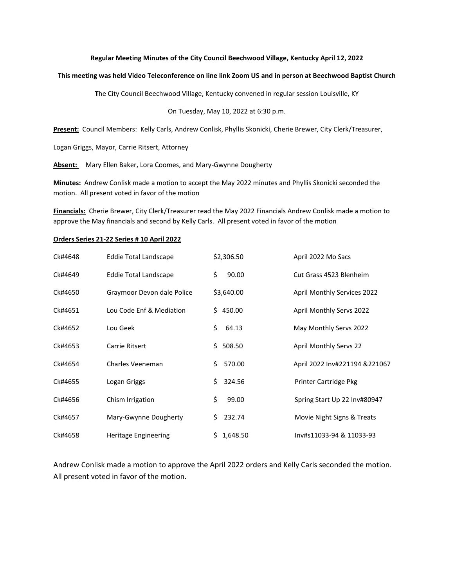## **Regular Meeting Minutes of the City Council Beechwood Village, Kentucky April 12, 2022**

## **This meeting was held Video Teleconference on line link Zoom US and in person at Beechwood Baptist Church**

**T**he City Council Beechwood Village, Kentucky convened in regular session Louisville, KY

On Tuesday, May 10, 2022 at 6:30 p.m.

**Present:** Council Members: Kelly Carls, Andrew Conlisk, Phyllis Skonicki, Cherie Brewer, City Clerk/Treasurer,

Logan Griggs, Mayor, Carrie Ritsert, Attorney

**Absent:** Mary Ellen Baker, Lora Coomes, and Mary-Gwynne Dougherty

**Minutes:** Andrew Conlisk made a motion to accept the May 2022 minutes and Phyllis Skonicki seconded the motion. All present voted in favor of the motion

**Financials:** Cherie Brewer, City Clerk/Treasurer read the May 2022 Financials Andrew Conlisk made a motion to approve the May financials and second by Kelly Carls. All present voted in favor of the motion

## **Orders Series 21-22 Series # 10 April 2022**

| Ck#4648 | Eddie Total Landscape        | \$2,306.50      | April 2022 Mo Sacs                 |
|---------|------------------------------|-----------------|------------------------------------|
| Ck#4649 | <b>Eddie Total Landscape</b> | \$<br>90.00     | Cut Grass 4523 Blenheim            |
| Ck#4650 | Graymoor Devon dale Police   | \$3,640.00      | <b>April Monthly Services 2022</b> |
| Ck#4651 | Lou Code Enf & Mediation     | \$450.00        | April Monthly Servs 2022           |
| Ck#4652 | Lou Geek                     | \$<br>64.13     | May Monthly Servs 2022             |
| Ck#4653 | Carrie Ritsert               | \$508.50        | <b>April Monthly Servs 22</b>      |
| Ck#4654 | Charles Veeneman             | 570.00<br>Ś.    | April 2022 Inv#221194 &221067      |
| Ck#4655 | Logan Griggs                 | Ś.<br>324.56    | Printer Cartridge Pkg              |
| Ck#4656 | Chism Irrigation             | \$<br>99.00     | Spring Start Up 22 Inv#80947       |
| Ck#4657 | Mary-Gwynne Dougherty        | \$<br>232.74    | Movie Night Signs & Treats         |
| Ck#4658 | Heritage Engineering         | 1,648.50<br>\$. | Inv#s11033-94 & 11033-93           |

Andrew Conlisk made a motion to approve the April 2022 orders and Kelly Carls seconded the motion. All present voted in favor of the motion.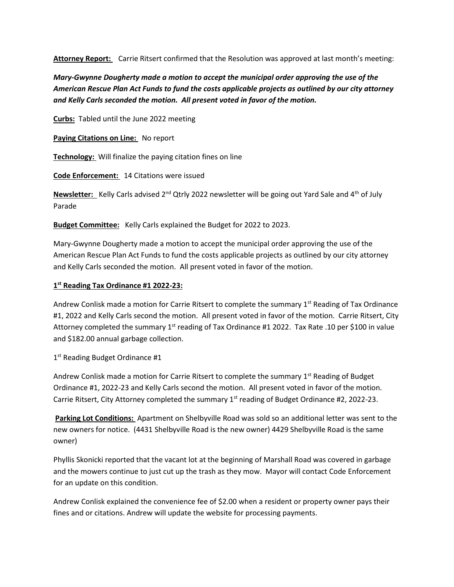**Attorney Report:** Carrie Ritsert confirmed that the Resolution was approved at last month's meeting:

*Mary-Gwynne Dougherty made a motion to accept the municipal order approving the use of the American Rescue Plan Act Funds to fund the costs applicable projects as outlined by our city attorney and Kelly Carls seconded the motion. All present voted in favor of the motion.* 

**Curbs:** Tabled until the June 2022 meeting

**Paying Citations on Line:** No report

**Technology:** Will finalize the paying citation fines on line

**Code Enforcement:** 14 Citations were issued

**Newsletter:** Kelly Carls advised 2<sup>nd</sup> Qtrly 2022 newsletter will be going out Yard Sale and 4<sup>th</sup> of July Parade

**Budget Committee:** Kelly Carls explained the Budget for 2022 to 2023.

Mary-Gwynne Dougherty made a motion to accept the municipal order approving the use of the American Rescue Plan Act Funds to fund the costs applicable projects as outlined by our city attorney and Kelly Carls seconded the motion. All present voted in favor of the motion.

## **1 st Reading Tax Ordinance #1 2022-23:**

Andrew Conlisk made a motion for Carrie Ritsert to complete the summary 1<sup>st</sup> Reading of Tax Ordinance #1, 2022 and Kelly Carls second the motion. All present voted in favor of the motion. Carrie Ritsert, City Attorney completed the summary  $1<sup>st</sup>$  reading of Tax Ordinance #1 2022. Tax Rate .10 per \$100 in value and \$182.00 annual garbage collection.

1st Reading Budget Ordinance #1

Andrew Conlisk made a motion for Carrie Ritsert to complete the summary 1<sup>st</sup> Reading of Budget Ordinance #1, 2022-23 and Kelly Carls second the motion. All present voted in favor of the motion. Carrie Ritsert, City Attorney completed the summary  $1<sup>st</sup>$  reading of Budget Ordinance #2, 2022-23.

**Parking Lot Conditions:** Apartment on Shelbyville Road was sold so an additional letter was sent to the new owners for notice. (4431 Shelbyville Road is the new owner) 4429 Shelbyville Road is the same owner)

Phyllis Skonicki reported that the vacant lot at the beginning of Marshall Road was covered in garbage and the mowers continue to just cut up the trash as they mow. Mayor will contact Code Enforcement for an update on this condition.

Andrew Conlisk explained the convenience fee of \$2.00 when a resident or property owner pays their fines and or citations. Andrew will update the website for processing payments.